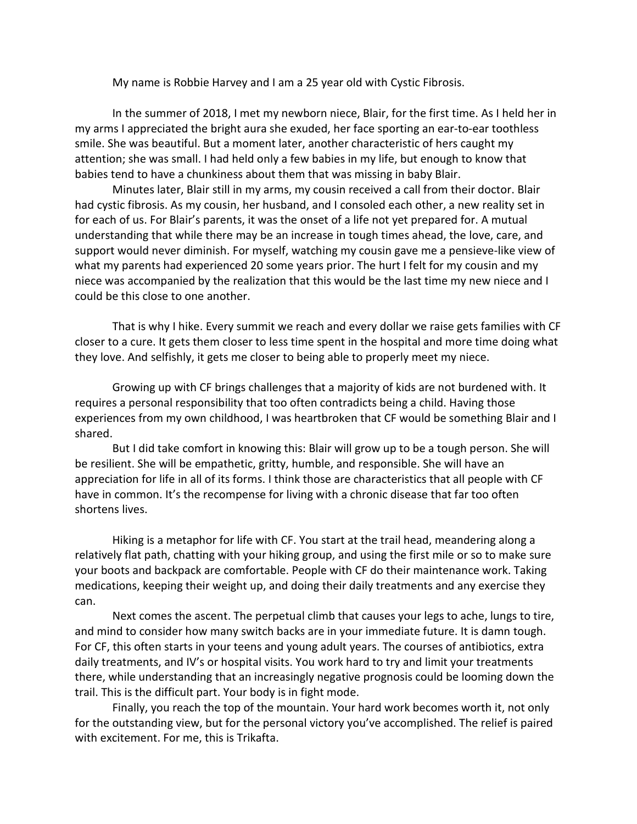My name is Robbie Harvey and I am a 25 year old with Cystic Fibrosis.

In the summer of 2018, I met my newborn niece, Blair, for the first time. As I held her in my arms I appreciated the bright aura she exuded, her face sporting an ear-to-ear toothless smile. She was beautiful. But a moment later, another characteristic of hers caught my attention; she was small. I had held only a few babies in my life, but enough to know that babies tend to have a chunkiness about them that was missing in baby Blair.

Minutes later, Blair still in my arms, my cousin received a call from their doctor. Blair had cystic fibrosis. As my cousin, her husband, and I consoled each other, a new reality set in for each of us. For Blair's parents, it was the onset of a life not yet prepared for. A mutual understanding that while there may be an increase in tough times ahead, the love, care, and support would never diminish. For myself, watching my cousin gave me a pensieve-like view of what my parents had experienced 20 some years prior. The hurt I felt for my cousin and my niece was accompanied by the realization that this would be the last time my new niece and I could be this close to one another.

That is why I hike. Every summit we reach and every dollar we raise gets families with CF closer to a cure. It gets them closer to less time spent in the hospital and more time doing what they love. And selfishly, it gets me closer to being able to properly meet my niece.

Growing up with CF brings challenges that a majority of kids are not burdened with. It requires a personal responsibility that too often contradicts being a child. Having those experiences from my own childhood, I was heartbroken that CF would be something Blair and I shared.

But I did take comfort in knowing this: Blair will grow up to be a tough person. She will be resilient. She will be empathetic, gritty, humble, and responsible. She will have an appreciation for life in all of its forms. I think those are characteristics that all people with CF have in common. It's the recompense for living with a chronic disease that far too often shortens lives.

Hiking is a metaphor for life with CF. You start at the trail head, meandering along a relatively flat path, chatting with your hiking group, and using the first mile or so to make sure your boots and backpack are comfortable. People with CF do their maintenance work. Taking medications, keeping their weight up, and doing their daily treatments and any exercise they can.

Next comes the ascent. The perpetual climb that causes your legs to ache, lungs to tire, and mind to consider how many switch backs are in your immediate future. It is damn tough. For CF, this often starts in your teens and young adult years. The courses of antibiotics, extra daily treatments, and IV's or hospital visits. You work hard to try and limit your treatments there, while understanding that an increasingly negative prognosis could be looming down the trail. This is the difficult part. Your body is in fight mode.

Finally, you reach the top of the mountain. Your hard work becomes worth it, not only for the outstanding view, but for the personal victory you've accomplished. The relief is paired with excitement. For me, this is Trikafta.